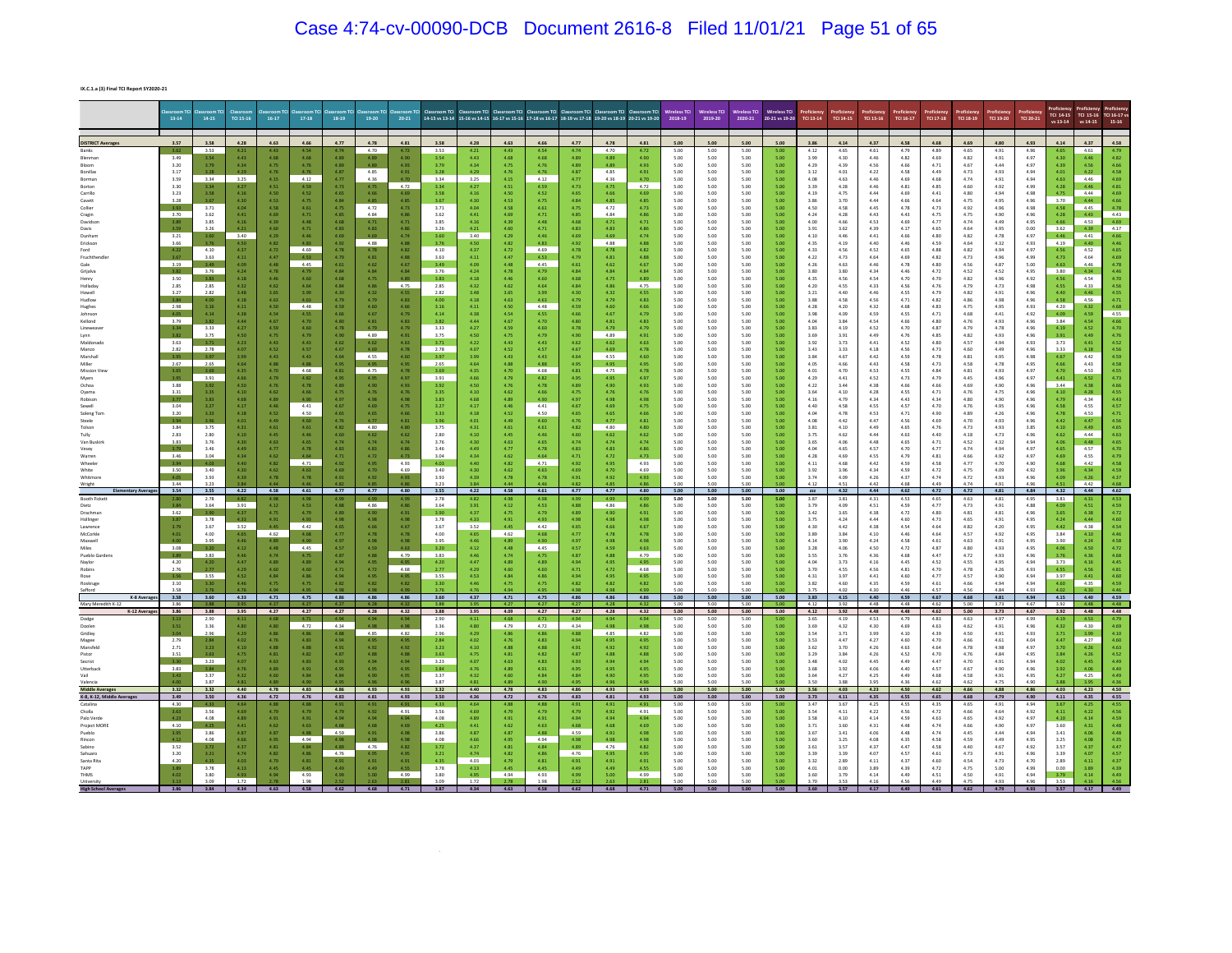## Case 4:74-cv-00090-DCB Document 2616-8 Filed 11/01/21 Page 51 of 65

**IX.C.1.a (3) Final TCI Report SY2020-21**

|                          | $13-14$                                     | 14-15            | TCI 15-16    | $16-17$          | $17 - 18$       | 18-19        | 19-20                                       | $20 - 21$                                           |              |                  |              | 14-15 vs 13-14 15-16 vs 14-15 16-17 vs 15-16 17-18 vs 16-17 18-19 vs 17-18 19-20 vs 18-19 |                  |              | 20-21 vs 19-20      | 2018-19      | 2019-20      | 2020-21          | 20-21 vs 19-20 | TCI 13-14                | TCI 14-15    | TCI 15-16    | TCI 16-17    | TCI 17-18    | TCI 18-19    | TCI 19-20    | TCI 20-21    | TCI 14-15<br>vs 13-14 | vs 14-15        | TCI 16-17<br>$15 - 16$ |
|--------------------------|---------------------------------------------|------------------|--------------|------------------|-----------------|--------------|---------------------------------------------|-----------------------------------------------------|--------------|------------------|--------------|-------------------------------------------------------------------------------------------|------------------|--------------|---------------------|--------------|--------------|------------------|----------------|--------------------------|--------------|--------------|--------------|--------------|--------------|--------------|--------------|-----------------------|-----------------|------------------------|
| <b>DISTRICT Avera</b>    | 3.57                                        | 3.58             | 4.28         | 4.63             | 4.66            | 4.77         | 4.78                                        | 4.81                                                | 3.58         | 4.28             | 4.63         | 4.66                                                                                      | 4.77             | 4.78         | 4.81                | 5.00         | 5.00         | 5.00             | 5.00           | 3.86                     | 4.14         | 4.37         | 4.58         | 4.68         | 4.69         | 4.80         | 4.93         | 4.14                  | 4.37            | 4.58                   |
|                          | 3.62<br>3.49                                | 3.53             | 4.43         | 4.43<br>4.68     | 4.54            | 4.74<br>4.89 | 4.70                                        | 4.72<br>4.90                                        | 3.53         | 4.21<br>4.43     | 4.43<br>4.68 | 4.54<br>4.68                                                                              | 4.74<br>4.89     | 4.70         | 4.72<br>4.90        | 5.00<br>5.00 | 5.00<br>5.00 | 5.00<br>5.00     | 5.00<br>500    | 4.12<br>3.99             | 4.65<br>4.30 | 4.61<br>4.46 | 4.79<br>4.82 | 4.89<br>4.69 | 4.65<br>4.82 | 4.91<br>4.91 | 4.96<br>4.97 | 4.65<br>4.30          | 4.61            | 4.79<br>4.82           |
|                          | 3.20                                        | 3.79             | 4.34         | 4.75             | 4.68<br>4.76    | 4.89         | 4.89<br>4.89                                | 4.93                                                | 3.79         | 4.34             | 4.75         | 4.76                                                                                      | 4.89             | 4.89         | 4.93                | 5.00         | 5.00         | 5.00             | 5.00           | 4.29                     | 4.39         | 4.56         | 4.66         | 4.71         | 4.67         | 4.44         | 4.97         | 4.39                  | 4.56            | 4.66                   |
|                          | 3.17<br>3.59                                | 3.28<br>3.34     | 4.29<br>3.25 | 4.76<br>4.15     | 4.76<br>4.12    | 4.87<br>4.77 | 4.85<br>4.36                                | 4.91<br>4.70                                        | 3.28<br>3.34 | 4.29<br>3.25     | 4.76<br>4.15 | 4.76<br>4.12                                                                              | 4.87<br>4.77     | 4.85<br>4.36 | 4.91<br>4.70        | 5.00<br>5.00 | 5.00<br>5.00 | 5.00<br>5.00     | 5.00<br>5.00   | 3.12<br>4.08             | 4.01<br>4.63 | 4.22<br>4.46 | 4.58<br>4.69 | 4.49<br>4.68 | 4.73<br>4.74 | 4.93<br>4.91 | 4.94<br>4.94 | 4.01<br>4.63          | 4.22<br>4.46    | 4.58<br>4.69           |
| Borton                   | 3.30<br>3.23                                | 3.34<br>3.58     | 4.27         | 4.51<br>4.50     | 4.59<br>4.52    | 4.73         | 4.75<br>4.66                                | 4.72                                                | 3.34<br>3.58 | 4.27<br>4.16     | 4.51<br>4.50 | 4.59<br>4.52                                                                              | 4.73<br>4.65     | 4.75<br>4.66 | 4.72<br>4.69        | 5.00<br>5.00 | 5.00         | 5.00<br>5.00     | 5.00<br>5.00   | 3.39                     | 4.28<br>4.75 | 4.46<br>4.44 | 4.81         | 4.85         | 4.60<br>4.80 | 4.92<br>4.94 | 4.99<br>4.98 | 4.28<br>4.75          | 4.46<br>4.44    | 4.81<br>4.69           |
| Carrillo<br>Cavett       | 3.28                                        | 3.67             | 4.16<br>4.30 | 4.53             | 4.75            | 4.65<br>4.84 | 4.85                                        | 4.69<br>4.85                                        | 3.67         | 4.30             | 4.53         | 4.75                                                                                      | 4.84             | 4.85         | 4.85                | 5.00         | 5.00<br>5.00 | 5.00             | 5.00           | 4.19<br>3.86             | 3.70         | 4.44         | 4.69<br>4.66 | 4.41<br>4.64 | 4.75         | 4.95         | 4.96         | 3.70                  | 4.44            | 4.66                   |
| Collier<br>Cragin        | 3.70                                        | 3.71<br>3.62     | 4.04<br>4.41 | 4.58<br>4.69     | 4.61<br>4.71    | 4.75<br>4.85 | 4.72<br>4.84                                | 4.73<br>4.86                                        | 3.71<br>3.62 | 4.04<br>4.41     | 4.58<br>4.69 | 4.61<br>4.71                                                                              | 4.75<br>4.85     | 4.72<br>4.84 | 4.73<br>4.86        | 5.00<br>5.00 | 5.00<br>5.00 | 5.00<br>5.00     | 5.00<br>5.00   | 4.50<br>4.24             | 4.58<br>4.28 | 4.45<br>4.43 | 4.78<br>4.43 | 4.73<br>4.75 | 4.92<br>4.75 | 4.96<br>4.90 | 4.98<br>4.96 | 4.58<br>4.28          | 4.45<br>4.43    | 4.78<br>4.43           |
| Davidso                  | 3.59                                        | 3.85<br>3.26     | 4.16<br>421  | 4.39<br>4.60     | 4.48<br>4.71    | 4.68<br>4.83 | 4.71<br>4.83                                | 4.71<br>4.86                                        | 3.85<br>3.26 | 4.16<br>4.21     | 4.39<br>4.60 | 4.48<br>4.71                                                                              | 4.68<br>4.83     | 471<br>4.83  | 4.71<br>4.86        | 5.00<br>500  | 5.00<br>5.00 | 5.00<br>5.00     | 5.00<br>500    | 4.00<br>3.91             | 4.66<br>3.62 | 4.53<br>4.39 | 4.69<br>4.17 | 4.77<br>4.65 | 4.74<br>4.64 | 4.49<br>4.95 | 4.95<br>0.00 | 4.66<br>3.62          | 453<br>4.39     | 4.17                   |
| Dunhar                   | 3.21                                        | 3.60             | 3.40         | 4.29             | 4.46            | 4.69         | 4.69                                        | 4.74                                                | 3.60         | 3.40             | 4.29         | 4.46                                                                                      | 4.69             | 4.69         | 4.74                | 5.00         | 5.00         | 5.00             | 500            | 4.10                     | 4.46         | 4.41         | 4.66         | 4.80         | 4.82         | 4.78         | 4.97         | 4.46                  | 4.41            | 4.66                   |
| Ericksor<br>Ford         | 3.66<br>4.22                                | 3.76<br>4.10     |              | 4.82<br>4.72     | 4.83<br>4.69    | 4.92<br>4.78 | 4.88<br>4.78                                | 4.88<br>4.82                                        | 3.76<br>4.10 | 4.50<br>4.37     | 4.82<br>4.72 | 4.83<br>4.69                                                                              | 4.92<br>4.78     | 4.88<br>4.78 | 4.88<br>4.82        | 5.00<br>5.00 | 5.00<br>5.00 | 5.00<br>5.00     | 5.00<br>5.00   | 4.35<br>4.33             | 4.19<br>4.56 | 4.40<br>4.52 | 4.46<br>4.65 | 4.59<br>4.88 | 4.64<br>4.82 | 4.32<br>4.94 | 4.93<br>4.97 | 4.19<br>4.56          | 4.40<br>4.52    | 4.46<br>4.65           |
| Fruchth<br>Gale          | 3.67<br>3.19                                | 3.63<br>3.49     | 4.11<br>4.09 | 4.47<br>4.48     | $-4.53$<br>4.45 | 4.79<br>4.61 | 4.81<br>4.62                                | 4.88<br>4,67                                        | 3.63<br>3.49 | 4.11<br>4.09     | 4.47<br>4.48 | 4.53<br>4.45                                                                              | 4.79<br>$4.61\,$ | 4.81<br>4.62 | 4.88<br>4.67        | 5.00<br>5.00 | 5.00<br>5.00 | 5.00<br>5.00     | 5.00<br>5.00   | 4.22<br>4.26             | 4.73<br>4.63 | 4.64<br>4.46 | 4.69<br>4.78 | 4.82<br>4.80 | 4.73<br>4.56 | 4.96<br>4.87 | 4.99<br>5.00 | 4.73<br>4.63          | 4.64<br>4.46    | 4.69<br>4.78           |
| Grijalva                 | 3.82                                        | 3.76             |              | 4.78             | 4.79            | 4.84<br>4.68 | 4.84                                        | 4.84<br>4.89                                        | 3.76         | 4.24             | 4.78         | 4.79<br>4.60                                                                              | 4.84             | 4.84<br>4.75 | 4.84                | 5.00         | 5.00         | 5.00             | 5.00<br>5.00   | 3.80                     | 3.80         | 4.34         | 4.46         | 4.72<br>4.70 | 4.52         | 4.52         | 4.95         | 3.80                  | 4.34            | 4.46                   |
| Henry<br>Holladay        | 3.50<br>2.85                                | 3.83<br>2.85     | 4.18         | 4.46<br>4.62     | 4.60<br>4,64    | 4.84         | 4.75<br>4.86                                | 4.75                                                | 3.83<br>2.85 | 4.18<br>4.32     | 4.46<br>4.62 | 4.64                                                                                      | 4.68<br>4.84     | 4.86         | 4.89<br>4.75        | 5.00<br>5.00 | 5.00<br>5.00 | 5.00<br>5.00     | 5.00           | 4.35<br>4.20             | 4.56<br>4.55 | 4.54<br>4.33 | 4.70<br>4.56 | 4.76         | 4.82<br>4.79 | 4.96<br>4.73 | 4.92<br>4.98 | 4.56<br>4.55          | 4.54            | 4.70<br>4.56           |
| Howell<br>Hudlow         | 3.27<br>3.84                                | 2.82<br>4.00     | 3.48<br>4.18 | 3.65<br>4.63     | 3.99<br>4.63    | 4.30<br>4.79 | 4.32<br>4.79                                | 4.55<br>4.83                                        | 2.82         | 3.48<br>4.18     | 3.65<br>4.63 | 3.99<br>4.63                                                                              | 4.30<br>4.79     | 4.32<br>4.79 | 4.55<br>4.83        | 5.00<br>5.00 | 5.00<br>5.00 | 5.00<br>5.00     | 5.00<br>5.00   | 3.21<br>3.88             | 4.40<br>4.58 | 4.46<br>4.56 | 4.55<br>4.71 | 4.79<br>4.82 | 4.82<br>4.86 | 4.91<br>4.98 | 4.96<br>4.96 | 4.40<br>4.58          | 4.46<br>4.56    | 4.55<br>4.71           |
| Hughes<br>Johnson        | 2.98                                        | 3.16<br>$4.14\,$ | 4.11<br>4.38 | 4.50<br>4.54     | 4.48<br>4.55    | 4.59<br>4.66 | 4.60<br>4.67                                | 4.66<br>4.79                                        | 3.16<br>4.14 | 4.11<br>4.38     | 4.50<br>4.54 | 4.48<br>4.55                                                                              | 4.59<br>4.66     | 4.60<br>4.67 | 4.66<br>4.79        | 5.00<br>5.00 | 5.00<br>5.00 | 5.00<br>5.00     | 5.00<br>5.00   | 4.28<br>3.98             | 4.20<br>4.09 | 4.32<br>4.59 | 4.68<br>4.55 | 4.83<br>4.71 | 4.75<br>4.68 | 4.95<br>4.41 | 4.93<br>4.92 | 4.20<br>4.09          | 4.32<br>4.59    | 4.68<br>4.55           |
| Kellond                  | 3.79                                        | 3.82             | 4.44         | 4.67             | 4.70            | 4.80         | 4.81                                        | 4.83                                                | 3.82         | 4.44             | 4.67         | 4.70                                                                                      | 4.80             | 4.81         | 4.83                | 5.00         | 5.00         | 5.00             | 5.00           | 4.04                     | 3.84         | 4.54         | 4.66         | 4.80         | 4.76         | 4.93         | 4.96         | 3.84                  | 4.54            | 4.66                   |
|                          | 3.34<br>3.82                                | 3.33<br>3.75     | 427<br>4.50  | 4.59<br>4.75     | 4.60<br>4.79    | 4.78<br>4.90 | 4.79<br>4.89                                | 4.79<br>4.91                                        | 3.33<br>3.75 | 4.27<br>4.50     | 4.59<br>4.75 | 4.60<br>4.79                                                                              | 4.78<br>4.90     | 4.79<br>4.89 | 4.79<br>4.91        | 5.00<br>500  | 5.00<br>5.00 | 5.00<br>5.00     | 5.00<br>5.00   | 3.83<br>3.69             | 4.19<br>3.91 | 4.52<br>4.49 | 4.70<br>4.76 | 4.87<br>4.85 | 4.79<br>4.82 | 4.78<br>4.93 | 4.96<br>4.96 | 4.19<br>3.91          | 452<br>4.49     | 4.70<br>4.76           |
| Maldona<br>Manzo         | $\begin{array}{c} 3.63 \\ 2.82 \end{array}$ | 3.71<br>2.78     | 407          | 4.43<br>4.52     | 4.43<br>4.57    | 4.62<br>4.67 | 4.62<br>4.69                                | 4,63<br>4.78                                        | 3.71<br>2.78 | 4.22<br>4.07     | 4.43<br>4.52 | 4.43<br>4.57                                                                              | 4.62<br>4.67     | 4.62<br>4.69 | 4.63<br>4.78        | 5.00<br>5.00 | 5.00<br>5.00 | 5.00<br>5.00     | 500<br>500     | 3.92<br>3.43             | 3.73<br>3.33 | 4.41<br>4.18 | 4.52<br>4.56 | 4.80<br>4.73 | 4.57<br>4.60 | 4.94<br>4.49 | 4.93<br>4.96 | 3.73<br>3.33          | 4.41<br>4.18    | 4.52<br>4.56           |
| Marshal                  | 3.95                                        | 3.97             |              | 4.43             | 4.43            | 4.64         | 4.55                                        | 4.60                                                | 3.97         | 3.99             | 4.43         | 4.43                                                                                      | 4.64             | 4.55         | 4.60                | 5.00         | 5.00         | 5.00             | 5.00           | 3.84                     | 4.67         | 4.42         | 4.59         | 4.78         | 4.81         | 4.95         | 4.98         | 4.67                  | 4.42            | 4.59                   |
| Mission Vie              | 2.67                                        |                  |              | 4.88<br>4.70     | 4.88<br>4.68    | 4.95<br>4.81 | 4.75                                        | 4.95<br>4.78                                        | 3.69         | 4.64<br>4.35     | 4.88<br>4.70 | 4.88<br>4.68                                                                              | 4.95<br>4.81     | 4.95<br>4.75 | 4.95<br>4.78        | 5.00<br>5.00 | 5.00<br>5.00 | 5.00<br>$5.00\,$ | 5.00<br>5.00   | 4.05<br>4.01             | 4.66<br>4.70 | 4.43<br>4.53 | 4.58<br>4.55 | 4.73<br>4.84 | 4.58<br>4.81 | 4.78<br>4.93 | 4.95<br>4.97 | 4.66<br>4.70          | 4.43<br>4.53    | 4.58<br>4.55           |
| Myers<br>Ochoa           | 3.88                                        | 3.91<br>3.92     | 4.50         | 4.79<br>4.76     | 4.82<br>4.78    | 4.89         | 4.90                                        | 4.97<br>4.93                                        | 3.91         | 4.66<br>4.50     | 4.79<br>4.76 | 4.82<br>4.78                                                                              | 4.95<br>4.89     | 4.90         | 4.97<br>4.93        | 5.00<br>5.00 | 5.00<br>5.00 | 5.00<br>5.00     | 5.00<br>5.00   | 4.29<br>4.22             | 4.41<br>3.44 | 4.52<br>4.38 | 4.73<br>4.66 | 4.79<br>4.66 | 4.45<br>4.69 | 4.96<br>4.90 | 4.97<br>4.96 | 4.41<br>3.44          | 4.38            | 4.73<br>4.66           |
| Oyama<br>Robisor         | 3.31                                        | 3.35<br>3.83     | 4.10<br>4.68 | 4.62<br>4.89     | 4.66<br>4.90    | 4.75<br>4.97 | 4.76<br>4.98                                | 4.76<br>4.98                                        | 3.35<br>3.83 | 4.10<br>4.68     | 4.62<br>4.89 | 4.66<br>4.90                                                                              | 4.75<br>4.97     | 4.76<br>4.98 | 4.76<br>4.98        | 5.00<br>5.00 | 5.00<br>5.00 | 5.00<br>5.00     | 5.00<br>5.00   | 3.64<br>4.16             | 4.10<br>4.79 | 4.28<br>4.34 | 4.55<br>4.43 | 4.71<br>4.34 | 4.76<br>4.80 | 4.75<br>4.90 | 4.96<br>4.96 | 4.10<br>4.79          | 4.28<br>4.34    | 4.55<br>4.43           |
| Sewell                   | 3.04                                        | 3.27             | 4.17         | 4.46             | 4.41            | 4.67         | 4.69                                        | 4.75                                                | 3.27         | 4.17             | 4.46         | 4.41                                                                                      | 4.67             | 4.69         | 4.75                | 5.00         | 5.00         | 5.00             | 5.00           | 4.40                     | 4.58         | 4.55         | 4.57         | 4.70         | 4.76         | 4.95         | 4.96         | 4.58                  | 4.55            | 4.57                   |
| Soleng Ton<br>Steele     | 3.20<br>3.94                                | 3.33<br>3.96     | 4.18<br>4.01 | 4.52<br>4.49     | 4.50<br>4.60    | 4.65<br>4.76 | 4.65<br>4.77                                | 4.66                                                | 3.33<br>3.96 | 4.18<br>4.01     | 4.52<br>4.49 | 4.50<br>4.60                                                                              | 4.65<br>4.76     | 4.65<br>4.77 | 4.66<br>4.81        | 5.00<br>5.00 | 5.00<br>5.00 | 5.00<br>5.00     | 5.00<br>5.00   | 4.04<br>4.08             | 4.78<br>4.42 | 4.53<br>4.47 | 4.71<br>4.56 | 4.90<br>4.69 | 4.89<br>4.70 | 4.26<br>4.93 | 4.96<br>4.96 | 4.78<br>4.42          | 4.53<br>4.47    | $\frac{4.71}{4.56}$    |
| Tolson<br>Tully          | 3.84<br>2.83                                | 3.75<br>2.80     | 4.31<br>4.10 | 4.61<br>4.45     | 4.61<br>4.46    | 4.82<br>4.60 | 4.80                                        | $\begin{array}{c} 4.81 \\ 4.80 \end{array}$<br>4.62 | 3.75<br>2.80 | 4.31<br>4.10     | 4.61<br>4.45 | 4.61<br>4.46                                                                              | 4.82<br>4.60     | 4.80         | 4.80<br>4.62        | 5.00<br>5.00 | 5.00<br>5.00 | 5.00<br>5.00     | 5.00<br>5.00   | 3.81<br>3.75             | 4.10<br>4.62 | 4.49<br>4.44 | 4.65<br>4.63 | 4.76<br>4.40 | 4.73<br>4.18 | 4.93<br>4.73 | 3.85<br>4.96 | 4.10<br>4.62          | 4.49<br>4.44    | 4.65<br>4.63           |
| Van Buskirl              | 3.83                                        | 3.76             | 4.30<br>4.49 | 4.63             | 4.65            | 4.74         | $\begin{array}{c} 4.62 \\ 4.74 \end{array}$ | 4.74                                                | 3.76         | 4.30             | 4.63         | 4.65                                                                                      | 4.74             | 4.74<br>4.83 | 4.74                | 5.00         | 5.00         | 5.00             | 5.00<br>5.00   | 3.65                     | 4.06         | 4.48         | 4.65         | 4.71         | 4.52         | 4.32         | 4.94         | 4.06                  | 4.48            | 4.65                   |
|                          | 3.79<br>3.46                                | 3.46<br>3.04     | 4.34         | 4.77<br>4.62     | 4.78<br>4.64    | 4.83<br>4.71 | 4.83<br>4.72                                | 4.86<br>4.73                                        | 3.46<br>3.04 | 4.49<br>4.34     | 4.77<br>4.62 | 4.78<br>4.64                                                                              | 4.83<br>4.71     | 4.72         | 4.86<br>4.73        | 5.00<br>5.00 | 5.00<br>5.00 | 5.00<br>5.00     | 5.00           | 4.04<br>4.28             | 4.65<br>4.69 | 4.57<br>4.55 | 4.70<br>4.79 | 4.77<br>4.81 | 4.74<br>4.66 | 4.94<br>4.92 | 4.97<br>4.97 | 4.65<br>4.69          | 4.57<br>4.55    | 4.70<br>4.79           |
|                          | 3.50                                        | 4.03<br>3.40     | 4.40<br>4.30 | 4.82<br>$4.62\,$ | 4.71<br>4.63    | 4.92<br>4.69 | 4.95<br>4.70                                | 4.93<br>4.69                                        | 4.03<br>3.40 | 4.40<br>4.30     | 4.82<br>4.62 | 4.71<br>4.63                                                                              | 4.92<br>4.69     | 4.95<br>4.70 | 4.93<br>4.69        | 5.00<br>5.00 | 5.00<br>5.00 | 5.00<br>5.00     | 5.00<br>5.00   | 4.11<br>3.92             | 4.68<br>3.96 | 4.42<br>4.34 | 4.59<br>4.59 | 4.58<br>4.72 | 4.77<br>4.75 | 4.70<br>4.09 | 4.90<br>4.92 | 4.68<br>3.96          | 4.42<br>4.34    | 4.58<br>4.59           |
|                          | 3.44                                        | 3.93<br>3.23     |              | 4.78<br>4.44.    | 4.78<br>4.46    |              | 4.92                                        | 4.93<br>4.86                                        | 3.93<br>3.23 | 4.39<br>3.84     | 4.78<br>4.44 | 4.78                                                                                      | 4.91             | 4.92         | $\frac{4.93}{4.86}$ | 5.00<br>5.00 | 5.00<br>500  | $5.00\,$<br>5.00 | 5.00           | 3.74<br>4.12             | 4.09<br>451  | 4.26<br>4.42 | 4.37<br>4.68 | 4.74<br>4.49 | 4.72<br>4.74 | 4.93<br>491  | 4.96<br>4.96 | 4.09<br>4.51          | 4.26<br>4.42    | $\frac{4.37}{4.68}$    |
| <b>Booth Ficke</b>       | 3.54<br>2.80                                | 3.55<br>2.78     | 4.22<br>4.82 | 4.58<br>4.98     | 4.61<br>4.98    | 4.77<br>4.99 | 4.77<br>4.99                                | 4.80<br>4.99                                        | 3.55<br>2.78 | 4.22<br>4.82     | 4.58<br>4.98 | 4.61<br>4.98                                                                              | 4.77<br>4.99     | 4.77<br>4.99 | 4.80<br>4.99        | 5.00<br>5.00 | 5.00<br>5.00 | 5.00<br>5.00     | 5.00<br>5.00   | $\boldsymbol{m}$<br>3.87 | 4.32<br>3.81 | 4.44<br>4.31 | 4.62<br>4.53 | 4.72<br>4.65 | 4.72<br>4.63 | 4.81<br>4.81 | 4.84<br>4.95 | 4.32<br>3.81          | 4.44            | 4.62<br>4.53           |
| Dietz                    | 3.84                                        | 3.64             | 3.91         | 4.12             | 4.53            | 4.88         | 4.86                                        | 4.86                                                | 3.64         | 3.91             | 4.12         | 4.53                                                                                      | 4.88             | 4.86         | 4.86                | 5.00         | 5.00         | 5.00             | 5.00           | 3.79                     | 4.09         | 4.51         | 4.59         | 4.77         | 4.73         | 4.91         | 4.88         | 4.09                  | 4.51            | 4.59                   |
| Drachman<br>Hollinge     | 3.62<br>3.87                                | 3.90<br>3.78     | 4.33         | 4.75<br>4.91     | 4.79<br>4.93    | 4.89<br>4.98 | 4.90<br>4.98                                | 4.91<br>4.98                                        | 3.90<br>3.78 | 4.37<br>4.33     | 4.75<br>4.91 | 4.79<br>4.93                                                                              | 4.89<br>4.98     | 4.90<br>4.98 | 4.91<br>4.98        | 5.00<br>5.00 | 5.00<br>5.00 | 5.00<br>5.00     | 5.00<br>5.00   | 3.42<br>3.75             | 3.65<br>4.24 | 4.38<br>4.44 | 4.72<br>4.60 | 4.80<br>4.73 | 4.81<br>4.65 | 4.81<br>4.91 | 4.96<br>4.95 | 3.65<br>4.24          | 4.38<br>4.44    | 4.72<br>4.60           |
| Lawrence<br>McCorkle     | 3.79<br>4.01                                | 3.67<br>4.00     | 3.52         | 4.45<br>4.62     | 4.42<br>4.68    | 4.65<br>4.77 | 4.66                                        | 4.67<br>4.78                                        | 3.67<br>4.00 | 3.52<br>4.65     | 4.45<br>4.62 | 4.42<br>4.68                                                                              | 4.65<br>4.77     | 4.66<br>4.78 | 4.67<br>4.78        | 5.00<br>5.00 | 5.00<br>5.00 | 5.00<br>5.00     | 5.00<br>5.00   | 4.30<br>3.89             | 4.42<br>3.84 | 4.38<br>4.10 | 4.54<br>4.46 | 4.64<br>4.64 | 4.82<br>4.57 | 4.20<br>4.92 | 4.95<br>4.95 | 4.42<br>3.84          | 4.38<br>4.10    | 4.54<br>4.46           |
| Maxwell                  | 4.00                                        | 3.95             | 4.46         | 4.89             | 4.90            | 4.97         | $\frac{4.78}{4.98}$                         | 4.98                                                | 3.95         | 4.46             | 4.89         | 4.90                                                                                      | 4.97             | 4.98<br>4.59 | 4.98                | 5.00         | 5.00         | 5.00             | 5.00           | 4.14                     | 3.90         | 4.24         | 4.58         | 4.61         | 4.63         | 4.91         | 4.95         | 3.90                  | 4.24            | 4.58                   |
| Pueblo Ga                | 3.08                                        | 3.20<br>3.83     | 4.12<br>4.46 | 4.48<br>4.74     | 4.45<br>4.75    | 4.57<br>4.87 | 4.59<br>4.88                                | 4.63<br>4.79                                        | 3.83         | 4.12<br>$4.46\,$ | 4.48<br>4.74 | 4.45<br>4.75                                                                              | 4.57<br>4.87     | 4.88         | 4.63<br>4.79        | 5.00<br>5.00 | 5.00<br>5.00 | 5.00<br>5.00     | 5.00<br>5.00   | 3.28<br>3.55             | 4.06<br>3.76 | 4.50<br>4.36 | 4.72<br>4.68 | 4.87<br>4.47 | 4.80<br>4.72 | 4.93<br>4.93 | 4.95<br>4.96 | 4.06<br>3.76          | 4.50            | 4.72<br>4.68           |
|                          | 4.20<br>2.76                                | 2.77             | 447<br>4.29  | 4.89<br>4.60     | 4.89<br>4.60    | 4.94<br>4.71 | 4.95<br>4.72                                | 4.95<br>4.68                                        | 2.77         | 447<br>4.29      | 4.89<br>4.60 | 4.89<br>4.60                                                                              | 4.94<br>4.71     | 4.95<br>4.72 | 4.95<br>4.68        | 5.00<br>5.00 | 5.00<br>5.00 | 5.00<br>5.00     | 5.00<br>5.00   | 4.04<br>3.70             | 3.73<br>4.55 | 4.16<br>4.56 | 4.45<br>4.81 | 4.52<br>4.70 | 4.55<br>4.78 | 4.95<br>4.26 | 4.94<br>4.93 | 3.73<br>4.55          | 4.16<br>4.56    | 4.45<br>4.81           |
|                          | 3.56<br>3.10                                | 3.55<br>3.30     | 4.52         | 4.84<br>4.75     | 4.86<br>4.75    | 4.94<br>4.82 | 4.95<br>4.82                                | 4.95<br>4.82                                        | 3.55         | 4.53<br>4.46     | 4.84<br>4.75 | 4.86<br>4.75                                                                              | 4.94<br>4.82     | 4.95<br>4.82 | 4.95<br>4.82        | 5.00<br>5.00 | 5.00<br>5.00 | 5.00<br>5.00     | 5.00<br>5.00   | 4.31<br>3.82             | 3.97<br>4.60 | 4.41<br>4.35 | 4.60<br>4.59 | 4.77<br>4.61 | 4.57<br>4.66 | 4.90<br>4.94 | 4.94<br>4.94 | 3.97<br>$4.60\,$      | 4.41<br>4.35    | 4.60<br>4.59           |
|                          | 3.58                                        | 3.60             | 4.33         | 4.71             | 4.75            | 4.86         | 4.86                                        | 4.86                                                | 3.60         | 4.37             | 4.94<br>4.71 | 4.75                                                                                      | 4.86             | 4.86         | 4.99                | 5.00         | 5.00         | 5.00             | 5.00           | 3.75                     | 4.02         | 4.30         | 4.46         | 457          | 4.56         | 484          | 4.93         | 4.02                  | 4.40            |                        |
|                          | 3.58<br>3.86                                |                  |              |                  |                 |              |                                             |                                                     |              |                  | 4.21         |                                                                                           |                  |              | 4.86                | 5.00<br>5.00 | 5.00<br>5.00 | 5.00<br>5.00     |                | 3.83<br>4.12             | 4.15<br>3.92 | 4.40<br>4.48 | 4.59<br>4.48 | 4.67<br>4.62 | 4.68<br>5.00 | 4.81<br>3.73 | 4.94<br>4.67 | 4.15<br>3.92          | 4.48            |                        |
| Dodg                     | 3.86<br>3,13                                | 3.88<br>2.90     | 3.95         | 4.27             | 4.27<br>4.71    | 4.27         | 4.28                                        | 4.32<br>4.94                                        | 3.88<br>2.90 | 3.95<br>4.11     | 4.09<br>4.68 | 4.27<br>4.71                                                                              | 4.27<br>4.94     | 4.28<br>4.94 | 4.32<br>4.94        | 5.00<br>5.00 | 5.00<br>5.00 | 5.00<br>5.00     | 5.00           | 4.12<br>3.65             | 3.92<br>4.19 | 4.48<br>4.53 | 4.48<br>4.79 | 4.62<br>4.83 | 5.00<br>4.63 | 3.73<br>4.97 | 4.67<br>4.99 | 3.92<br>4.19          | 4.48            |                        |
| Dooler<br>Gridley        | 3.51<br>3.04                                | 3.36<br>2.96     | 4.80<br>4.29 | 4.80<br>4.86     | 4.72<br>4.86    | 4.34         | 4.98<br>4.85                                | 4.98<br>4.82                                        | 3.36<br>2.96 | 4.80<br>4.29     | 4.79<br>4.86 | 4.72<br>4.86                                                                              | 4.34<br>4.88     | 4.98<br>4.85 | 4.98<br>4.82        | 5.00<br>5.00 | 5.00<br>5.00 | 5.00<br>5.00     | 5.00<br>5.00   | 3.69<br>3.54             | 4.32<br>3.71 | 4.30<br>3.99 | 4.69<br>4.10 | 4.63<br>4.39 | 4.62<br>4.50 | 4.91<br>4.91 | 4.96<br>4.93 | 4.32<br>3.71          | 4.30<br>$-3.99$ | 4.69<br>4.10           |
|                          | 2.79                                        | 2.84             | 4.02         | 4.76             | 4.83            | 4.94         | 4.95                                        | 4.95                                                | 2.84         | 4.02             | 4.76         | 4.83                                                                                      | 4.94             | 4.95         | 4.95                | 5.00         | 5.00         | 5.00             | 5.00           | 3.53                     | 4.47         | 4.27         | 4.60         | 4.70         | 4.66         | 4.61         | 4.04         | 4.47                  | 4.27            | 4.60                   |
| Mansfeld                 | 2.71<br>3.51                                | 3.23             | 4.10<br>4.75 | 4.88<br>4.81     | 4.88<br>4.82    | 4.91<br>4.87 | 4.92<br>4.88                                | 4.92<br>4.88                                        | 3.23<br>3.63 | 4.10<br>4.75     | 4.88<br>4.81 | 4.88<br>4.82                                                                              | 4.91<br>4.87     | 4.92<br>4.88 | 4.92<br>4.88        | 5.00<br>5.00 | 5.00<br>5.00 | 5.00<br>5.00     | 5.00<br>5.00   | 3.62<br>3.29             | 3.70<br>3.84 | 4.26<br>4.26 | 4.63<br>4.52 | 4.64<br>4.70 | 4.78<br>4.76 | 4.98<br>4.84 | 4.97<br>4.95 | 3.70<br>3.84          | 4.26<br>4.26    | 4.63<br>4.52           |
|                          | 3.30<br>3.83                                | 3.23<br>3.84     | 4.07<br>4.76 | 4.63<br>4.89     | 4.83<br>4.91    | 4.93<br>4.95 | 4.94<br>4.95                                | 4.94<br>4.95                                        | 3.23<br>3.84 | 4.07<br>4.76     | 4.63<br>4.89 | 4.83<br>4.91                                                                              | 4.93<br>4.95     | 4.94<br>4.95 | 4.94<br>4.95        | 5.00<br>5.00 | 5.00<br>5.00 | 5.00<br>5.00     | 5.00<br>5.00   | 3.48<br>3.68             | 4.02<br>3.92 | 4.45<br>4.06 | 4.49<br>4.40 | 4.47<br>4.57 | 4.70<br>4.67 | 4.91<br>4.90 | 4.94<br>4.96 | 4.02<br>3.92          | 4.45<br>4.06    | 4.49<br>4,40           |
|                          | 3.43<br>4.00                                | 3.37<br>3.87     | 4.32         | 4.60             | 4.84<br>4.90    | 4.84         | 4.90                                        | 4.95                                                | 3.37<br>3.87 | 4.32<br>4.81     | 4.60<br>4.89 | 4.84                                                                                      | 4.84             | 4.90         | 4.95                | 5.00<br>5.00 | 5.00<br>500  | 5.00<br>5.00     | 5.00           | 3.64<br>3.50             | 4.27<br>3.88 | 4.25<br>3.95 | 4.49<br>4.36 | 4.68<br>4.62 | 4.58<br>4.62 | 4.91<br>4.75 | 4.95<br>4.90 | 4.27                  | 4.25            | 4.49                   |
|                          | 3.32                                        | 3.32             | 4.40         | 4.78             | 4.83            | 4.86         | 4.93                                        | 4.93                                                | 3.32         | 4.40             | 4.78         | 4.83                                                                                      | 4.86             | 4.93         | 4.93                | 5.00         | 5.00         | 5.00             | 5.00           | 3.56                     | 4.03         | 4.23         | 4.50         | 4.62         | 4.66         | 4.88         | 4.86         | 4.03                  | 4.23            | 4.50                   |
| K-8, K-12, M<br>Catalina | 3.49<br>4.30                                | 3.50<br>4.33     | 4.36         | 4.72<br>4.88     | 4.76<br>4.88    | 4.83<br>4.91 | 4.81<br>4.91                                | 4.93<br>4.91                                        | 3.50<br>4.33 | 4.36<br>4.64     | 4.72<br>4.88 | 4.76<br>4.88                                                                              | 4.83<br>4.91     | 4.81<br>4.91 | 4.93<br>4.91        | 5.00<br>5.00 | 5.00<br>5.00 | 5.00<br>5.00     | 5.00<br>5.00   | 3.73<br>3.47             | 4.11<br>3.67 | 4.35<br>4.25 | 4.55<br>4.55 | 4.65<br>4.35 | 4.68<br>4.65 | 4.79<br>4.91 | 4.90<br>4.94 | 4.11<br>3.67          | 4.35<br>4.25    | 4.55<br>4.55           |
| Cholla<br>Palo Verde     | 3.63<br>4.23                                | 3.56<br>4.08     | 4.69<br>4.89 | 4.79<br>4.91     | 4.79<br>4.91    | 4.79<br>4.94 | 4.92<br>4.94                                | 4.91<br>4.94                                        | 3.56<br>4.08 | 4.69<br>4.89     | 4.79<br>4.91 | 4.79<br>4.91                                                                              | 4.79<br>4.94     | 4.92<br>4.94 | 4.91<br>4.94        | 5.00<br>5.00 | 5.00<br>5.00 | 5.00<br>5.00     | 5.00<br>5.00   | 3.54<br>3.58             | 4.11<br>4.10 | 4.22<br>4.14 | 4.56<br>4.59 | 4.72<br>4.63 | 4.66<br>4.65 | 4.64<br>4.92 | 4.92<br>4.97 | 4.11<br>4.10          | 4.22<br>4.14    | 4.56<br>4.59           |
| Project MORE<br>Pueblo   | 4.10<br>3.95                                | 4.25             | 4.41<br>4.87 | 4.62<br>4.87     | 4.63<br>4.88    | 4.68<br>4.59 | 4.68<br>4.91                                | $\frac{4.69}{4.98}$                                 | 4.25<br>3.86 | 4.41<br>4.87     | 4.62<br>4.87 | 4.63<br>4.88                                                                              | 4.68<br>4.59     | 4.68<br>4.91 | 4.69<br>4.98        | 5.00<br>500  | 5.00<br>500  | 5.00<br>5.00     | 5.00<br>5.00   | 3.71<br>3.67             | 3.60<br>3.41 | 4.31<br>4.06 | 4.48<br>4.48 | 4.74<br>4.74 | 4.66<br>4.45 | 4.90<br>4.44 | 4.97<br>4.94 | 3.60                  | 4.31<br>4.06    | 4.48                   |
| Rincon                   | 412                                         | 3.86<br>4.08     | 4.66         | 4.95             | 4.94            | 4.98         | 4.98                                        | 4.98                                                | 408          | 4.66             | 4.95         | 4.94                                                                                      | 4.98             | 4.98         | 4.98                | 5.00         | 5.00         | 5.00             | 500            | 3.60                     | 3.25         | 4.08         | 4.35         | 4.58         | 4.59         | 4.49         | 4.95         | 3.41<br>3.25          | 4.08            | 4.48<br>4.35           |
| Sabino<br>Sahuaro        | 3.52<br>3.20                                | 3.21             | 437<br>4.74  | 4.81<br>4.82     | 4.84<br>4.86    | 4.89<br>4.76 | 4.76                                        | 4.82<br>4.95                                        | 3.72<br>3.21 | 4.37<br>4.74     | 4.81<br>4.82 | 4.84<br>4.86                                                                              | 4.89<br>4.76     | 4.76<br>4.95 | 4.82<br>4.95        | 5.00<br>5.00 | 5.00<br>5.00 | 5.00<br>5.00     | 5.00<br>5.00   | 3.61<br>3.39             | 3.57<br>3.39 | 4.37<br>4.07 | 4.47<br>4.57 | 4.58<br>4.61 | 4.40<br>4.73 | 4.67<br>4.91 | 4.92<br>4.96 | 3.57<br>3.39          | 4.37<br>4.07    | 4.47<br>4.57           |
| Santa Rita               | 4.20<br>3.89                                | 4.35<br>3.78     | 4.03<br>4.13 | 4.79<br>$4.45\,$ | 4.81<br>4.45    | 4.91<br>4.49 | 4.91<br>4.49                                | 4.91<br>4.55                                        | 4.35<br>3.78 | 4.03<br>4.13     | 4.79<br>4.45 | 4.81<br>4.45                                                                              | 4.91<br>4.49     | 4.91         | 4.91<br>4.55        | 5.00<br>5.00 | 5.00<br>5.00 | 5.00<br>5.00     | 5.00<br>5.00   | 3.32<br>$4.01\,$         | 2.89<br>0.00 | 4.11<br>3.89 | 4.37<br>4.39 | 4.60<br>4.72 | 4.54<br>4.75 | 4.73<br>5.00 | 4.70<br>4.99 | 2.89<br>0.00          | 4.11<br>3.89    | 4.37<br>4.39           |
|                          |                                             | 3.80             |              |                  | 4.93            |              |                                             | 4.99                                                |              |                  |              | 4.93                                                                                      |                  |              |                     |              |              | 5.00             |                | 3.60                     | 3.79         | 4.14         | 4.49         |              | 4.50         | 4.91         | 4.94         |                       |                 |                        |
|                          | 3.86                                        |                  |              |                  |                 | 4.62         | 4.68                                        |                                                     |              | 4.34             | 4.63         | 4.58                                                                                      |                  |              |                     |              |              |                  |                |                          |              |              |              |              |              |              |              |                       |                 |                        |

 $\mathcal{L}^{\mathcal{L}}(\mathcal{A})$  .